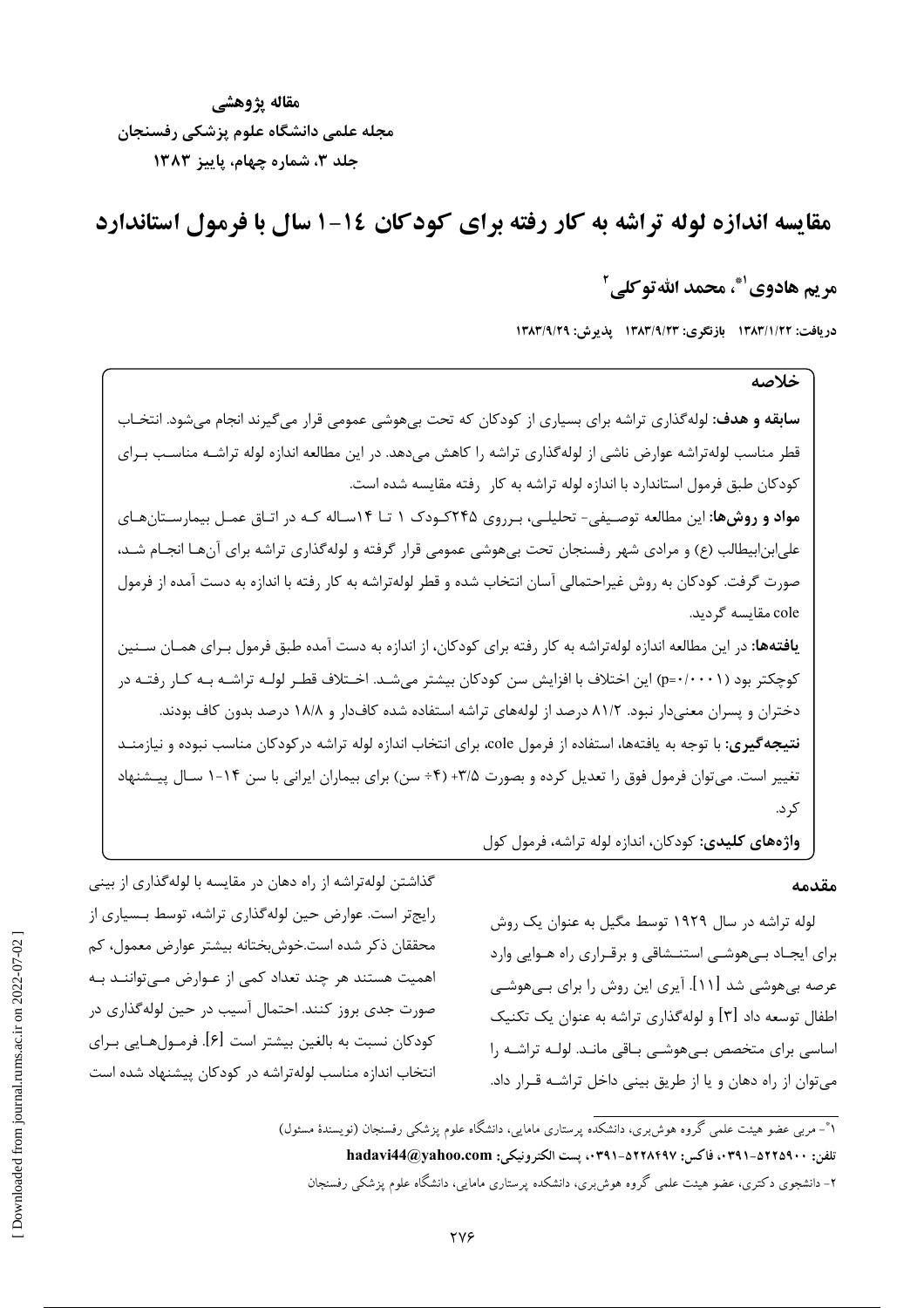مقاله يژوهشي مجله علمي دانشگاه علوم پزشکی رفسنجان جلد ٣، شماره چهام، پاییز ١٣٨٣

مقایسه اندازه لوله تراشه به کار رفته برای کودکان ۱۶-۱ سال با فرمول استاندارد

## مر يم هادوي '\*، محمد الله تو كلي '

دريافت: ١٣٨٣/١/٢٢ بازنگري: ١٣٨٣/٩/٢٣ يذيرش: ١٣٨٣/٩/٢٩

## خلاصه

**سابقه و هدف:** لوله گذاری تراشه برای بسیاری از کودکان که تحت بیهوشی عمومی قرار میگیرند انجام میشود. انتخـاب قطر مناسب لولهتراشه عوارض ناشی از لوله گذاری تراشه را کاهش می دهد. در این مطالعه اندازه لوله تراشـه مناسـب بـرای كودكان طبق فرمول استاندارد با اندازه لوله تراشه به كار رفته مقايسه شده است. **مواد و روشها:** این مطالعه توصیفی- تحلیلـی، بـرروی ۲۴۵کـودک ۱ تــا ۱۴سـاله کـه در اتـاق عمـل بیمارسـتانهـای علی|بن|بیطالب (ع) و مرادی شهر رفسنجان تحت بیهوشی عمومی قرار گرفته و لولهگذاری تراشه برای آنهـا انجــام شــد، صورت گرفت. کودکان به روش غیراحتمالی آسان انتخاب شده و قطر لولهتراشه به کار رفته با اندازه به دست آمده از فرمول cole مقایسه گردید. **یافتهها:** در این مطالعه اندازه لولهتراشه به کار رفته برای کودکان، از اندازه به دست آمده طبق فرمول بـرای همـان سـنین

کوچکتر بود (p=٠/٠٠١) این اختلاف با افزایش سن کودکان بیشتر میشـد. اخـتلاف قطـر لولـه تراشـه بـه کـار رفتـه در دختران و پسران معنیدار نبود. ۸۱/۲ درصد از لولههای تراشه استفاده شده کافدار و ۱۸/۸ درصد بدون کاف بودند. **نتیجه گیری:** با توجه به یافتهها، استفاده از فرمول cole، برای انتخاب اندازه لوله تراشه در کودکان مناسب نبوده و نیازمنـد تغییر است. میتوان فرمول فوق را تعدیل کرده و بصورت ۳/۵+ (۴÷ سن) برای بیماران ایرانی با سن ۱۴-۱ سـال پیـشنهاد ک د.

واژههای کلیدی: کودکان، اندازه لوله تراشه، فرمول کول

#### مقدمه

لوله تراشه در سال ۱۹۲۹ توسط مگیل به عنوان یک روش برای ایجـاد بـیهوشـی استنـشاقی و برقـراری راه هـوایی وارد عرصه بیهوشی شد [۱۱]. آیری این روش را برای بـیهوشـی اطفال توسعه داد [۳] و لولهگذاری تراشه به عنوان یک تکنیک اساسی برای متخصص بے،هوشبی باقی مانـد. لولـه تراشـه را می توان از راه دهان و یا از طریق بینی داخل تراشـه قـرار داد.

ا\*- مربی عضو هیئت علمی گروه هوش بری، دانشکده پرستاری مامایی، دانشگاه علوم پزشکی رفسنجان (نویسندهٔ مسئول) تلفن: ٠٣٩١٠-٥٢٢٩١. فاكس: ٥٢٢٨٤٩٧-٥٣٩١. يست الكترونيكي: hadavi44@yahoo.com ۲– دانشجوی دکتری، عضو هیئت علمی گروه هوش بری، دانشکده پرستاری مامایی، دانشگاه علوم پزشکی رفسنجان

گذاشتن لولهتراشه از راه دهان در مقایسه با لولهگذاری از بینی رایج تر است. عوارض حین لوله گذاری تراشه، توسط بـسیاری از محققان ذکر شده است.خوشبختانه بیشتر عوارض معمول، کم اهمیت هستند هر چند تعداد کمی از عـوارض مـیتواننـد بـه صورت جدی بروز کنند. احتمال آسیب در حین لولهگذاری در كودكان نسبت به بالغين بيشتر است [۶]. فرمــولهــايي بــراي انتخاب اندازه مناسب لولهتراشه در كودكان پيشنهاد شده است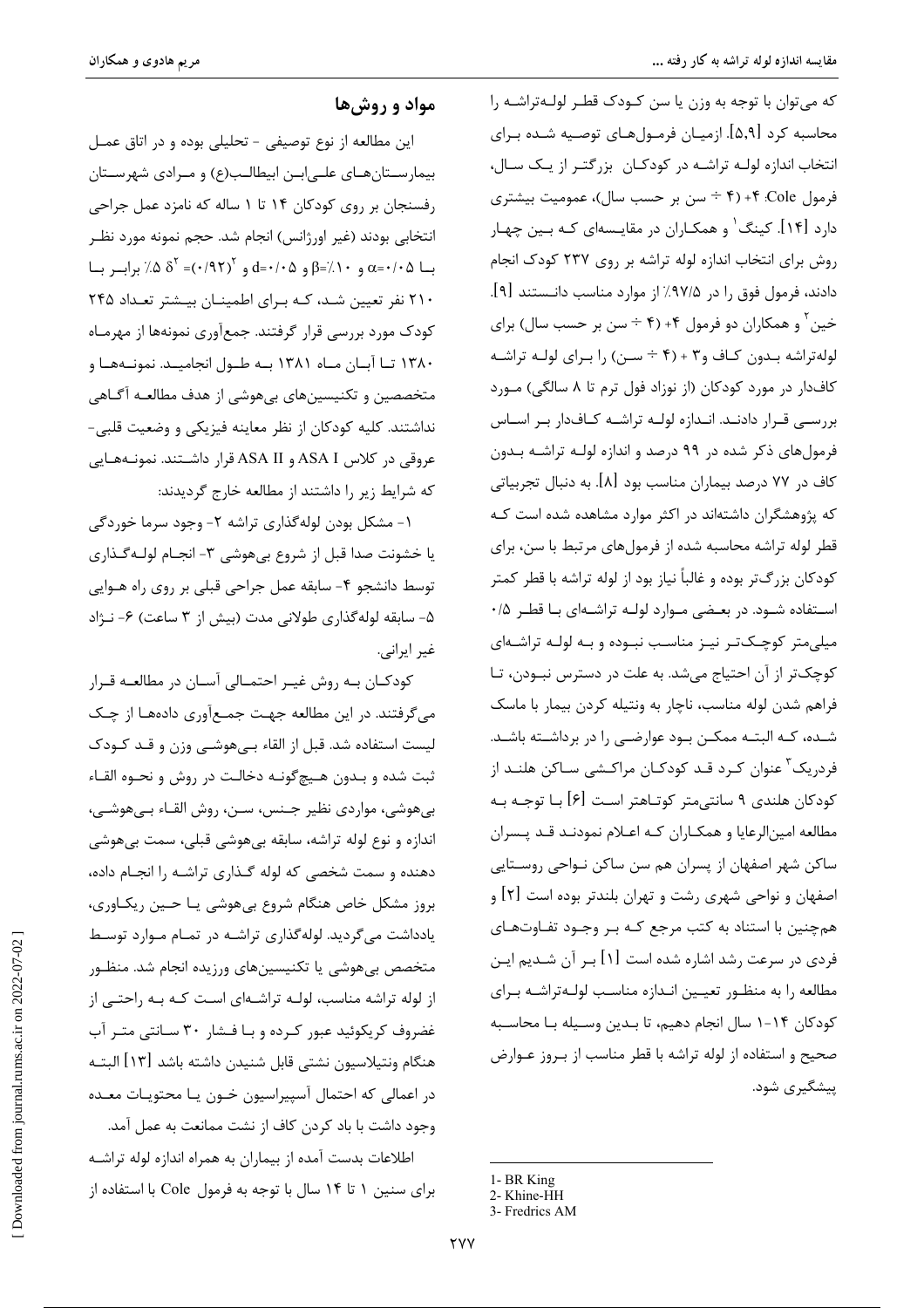که میتوان با توجه به وزن یا سن کودک قطر لولهتراشـه را محاسبه کرد [۵٫۹]. ازمیـان فرمـولهـای توصـیه شـده بـرای انتخاب اندازه لولـه تراشـه در كودكـان بزرگتـر از يـك سـال، فرمول Cole: ۴+ (۴ ÷ سن بر حسب سال)، عمومیت بیشتری دارد [۱۴]. کینگ ٰ و همکـاران در مقایــسهای کـه بــین چهـار روش برای انتخاب اندازه لوله تراشه بر روی ۲۳۷ کودک انجام دادند، فرمول فوق را در ۹۷/۵٪ از موارد مناسب دانــستند [۹]. خين <sup>۱</sup> و همكاران دو فرمول ۴+ (۴ ÷ سن بر حسب سال) براي لولهتراشه بدون كاف و٣ + (۴ ÷ سن) را براى لولـه تراشـه کافدار در مورد کودکان (از نوزاد فول ترم تا ۸ سالگی) مورد بررسے قرار دادنـد. انـدازه لولـه تراشـه كـافدار بـر اسـاس فرمول های ذکر شده در ۹۹ درصد و اندازه لولـه تراشـه بـدون کاف در ۷۷ درصد بیماران مناسب بود [۸]. به دنبال تجربیاتی که پژوهشگران داشتهاند در اکثر موارد مشاهده شده است ک قطر لوله تراشه محاسبه شده از فرمولهای مرتبط با سن، برای کودکان بزرگتر بوده و غالباً نیاز بود از لوله تراشه با قطر کمتر استفاده شود. در بعضی موارد لوله تراشهای با قطر ۰/۵ میلی متر کوچکت رنیه مناسب نبوده و بـه لولـه تراشـهای كوچكتر از آن احتياج مي شد. به علت در دسترس نبودن، تا فراهم شدن لوله مناسب، ناچار به ونتیله کردن بیمار با ماسک شـده، کـه البتـه ممکـن بـود عوارضـی را در برداشـته باشـد. فردریک<sup>۳</sup> عنوان کـرد قـد کودکـان مراکـشی سـاکن هلنـد از کودکان هلندی ۹ سانتی،متر کوتـاهتر اسـت [۶] بــا توجــه بــه مطالعه امینالرعایا و همکـاران کـه اعـلام نمودنـد قـد پـسران ساکن شهر اصفهان از پسران هم سن ساکن نـواحی روسـتایی اصفهان و نواحی شهری رشت و تهران بلندتر بوده است [۲] و همچنین با استناد به کتب مرجع کـه بـر وجـود تفـاوتهـای فردی در سرعت رشد اشاره شده است [۱] بـر آن شـدیم ایـن مطالعه را به منظور تعيين اندازه مناسب لولهتراشه براي كودكان ١٠-١ سال انجام دهيم، تا بـدين وسـيله بـا محاسـبه صحیح و استفاده از لوله تراشه با قطر مناسب از بروز عـوارض پیشگیری شود.

1- BR King

مواد و روشها

این مطالعه از نوع توصیفی - تحلیلی بوده و در اتاق عمـل بیمارستانهای علےابن ابیطالب(ع) و مرادی شهرستان رفسنجان بر روی کودکان ۱۴ تا ۱ ساله که نامزد عمل جراحی انتخابي بودند (غير اورژانس) انجام شد. حجم نمونه مورد نظـر با ۵۵٬۰۵ $\alpha = \beta - \beta - \beta$ و ۵۰/۰۵ و ۵۰/۰۵ (۹۲۲)= ۵ $\alpha$ ٪ براب با ٢١٠ نفر تعيين شـد، كـه بـراى اطمينـان بيـشتر تعـداد ٢۴۵ کودک مورد بررسی قرار گرفتند. جمعآوری نمونهها از مهرمـاه ۱۳۸۰ تــا آبــان مــاه ۱۳۸۱ بــه طــول انجاميــد. نمونــههــا و متخصصین و تکنیسینهای بیهوشی از هدف مطالعـه آگـاهی نداشتند. کلیه کودکان از نظر معاینه فیزیکی و وضعیت قلبی-عروقی در کلاس ASA I و ASA II قرار داشــتند. نمونــههــایی که شرایط زیر را داشتند از مطالعه خارج گردیدند:

۱- مشکل بودن لولهگذاری تراشه ۲- وجود سرما خوردگی يا خشونت صدا قبل از شروع بي هوشي ٣- انجـام لولـه گـذاري توسط دانشجو ۴- سابقه عمل جراحی قبلی بر روی راه هــوایی ۵- سابقه لوله گذاری طولانی مدت (بیش از ۳ ساعت) ۶- نـژاد غير ايراني.

كودكـان بـه روش غيـر احتمـالى آسـان در مطالعـه قـرار می گرفتند. در این مطالعه جهت جمـع[وری دادههـا از چـک لیست استفادہ شد. قبل از القاء ہے ھوشے وزن و قـد کـودک ثبت شده و بـدون هـيچگونــه دخالـت در روش و نحــوه القــاء بي هوشي، مواردي نظير جـنس، سـن، روش القـاء بـي هوشــي، اندازه و نوع لوله تراشه، سابقه بی هوشی قبلی، سمت بی هوشی دهنده و سمت شخصی که لوله گـذاری تراشـه را انجـام داده، بروز مشکل خاص هنگام شروع بی هوشی یـا حـین ریکـاوری، یادداشت میگردید. لولهگذاری تراشـه در تمـام مـوارد توسـط متخصص بی هوشی یا تکنیسینهای ورزیده انجام شد. منظـور از لوله تراشه مناسب، لولـه تراشـهای اسـت کـه بـه راحتـی از غضروف کریکوئید عبور کرده و بـا فـشار ۳۰ سـانتی متـر آب هنگام ونتيلاسيون نشتي قابل شنيدن داشته باشد [١٣] البتـه در اعمالی که احتمال آسپیراسیون خـون یـا محتویـات معـده وجود داشت با باد کردن کاف از نشت ممانعت به عمل آمد.

اطلاعات بدست آمده از بیماران به همراه اندازه لوله تراشـه برای سنین ۱ تا ۱۴ سال با توجه به فرمول Cole با استفاده از

<sup>2-</sup> Khine-HH

<sup>3-</sup> Fredrics AM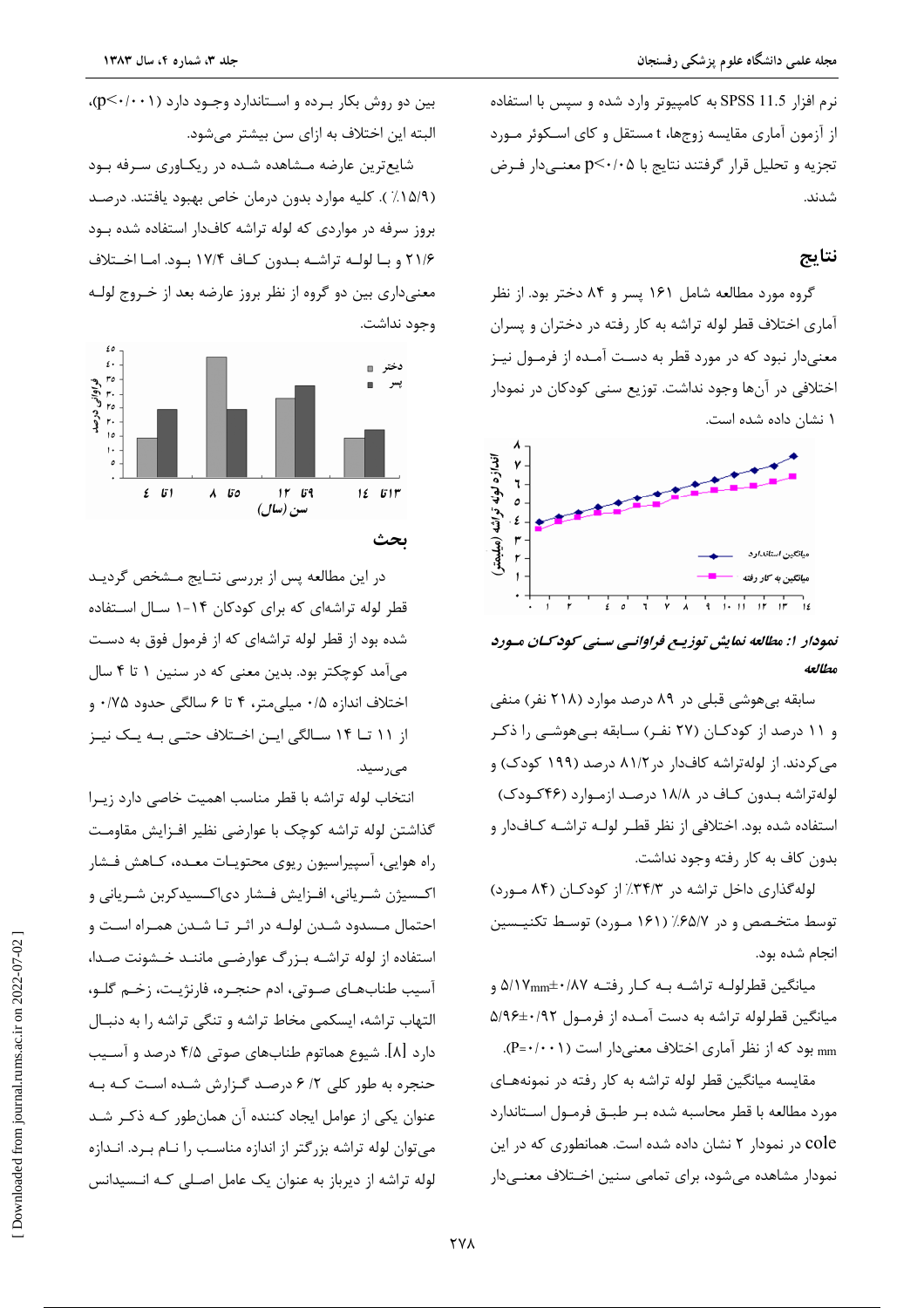نرم افزار SPSS 11.5 به كامپيوتر وارد شده و سپس با استفاده از آزمون آماری مقایسه زوجها، t مستقل و کای اسکوئر مورد تجزیه و تحلیل قرار گرفتند نتایج با p≤۰/۰۵ معنـیدار فـرض شدند.

### نتايج

گروه مورد مطالعه شامل ۱۶۱ پسر و ۸۴ دختر بود. از نظر آماری اختلاف قطر لوله تراشه به کار رفته در دختران و پسران معنیدار نبود که در مورد قطر به دست آمـده از فرمـول نیـز اختلافی در آنها وجود نداشت. توزیع سنی کودکان در نمودار ۱ نشان داده شده است.



نمودار ۱: مطالعه نمایش توزیع فراوانے سنے کودکان مورد مطالعه

سابقه بیهوشی قبلی در ۸۹ درصد موارد (۲۱۸ نفر) منفی و ۱۱ درصد از کودکـان (۲۷ نفـر) سـابقه بـیهوشـی را ذکـر می کردند. از لولهتراشه کافدار در ۸۱/۲ درصد (۱۹۹ کودک) و لولهتراشه بهون کاف در ۱۸/۸ درصد ازموارد (۴۶کودک) استفاده شده بود. اختلافی از نظر قطـر لولـه تراشـه كـافدار و بدون كاف به كار رفته وجود نداشت.

لولهگذاری داخل تراشه در ۳۴/۳٪ از کودکـان (۸۴ مـورد) توسط متخـصص و در ۶۵/۷٪ (۱۶۱ مـورد) توسـط تكنيـسين انجام شده بود.

میانگین قطرلولـه تراشـه بـه کـار رفتـه ۵/۱۷mm±۰/۸۷ و میانگین قطرلوله تراشه به دست آمـده از فرمـول ۵/۹۶±۰/۹۲ mm بود که از نظر آماری اختلاف معنی دار است (P=٠/٠٠١).

مقایسه میانگین قطر لوله تراشه به کار رفته در نمونههای مورد مطالعه با قطر محاسبه شده بـر طبــق فرمــول اســتاندارد cole در نمودار ۲ نشان داده شده است. همانطوری که در این نمودار مشاهده می شود، برای تمامی سنین اخـتلاف معنـی۱دار

بین دو روش بکار برده و استاندارد وجـود دارد (p<۰/۰۰۱)، البته این اختلاف به ازای سن بیشتر میشود.

شایعترین عارضه مـشاهده شـده در ریکـاوری سـرفه بـود (١۵/٩٪). كليه موارد بدون درمان خاص بهبود يافتند. درصد بروز سرفه در مواردی که لوله تراشه کافدار استفاده شده بود ۲۱/۶ و بـا لولـه تراشـه بـدون كـاف ۱۷/۴ بـود. امـا اخـتلاف معنیداری بین دو گروه از نظر بروز عارضه بعد از خـروج لولـه وجود نداشت.



در این مطالعه پس از بررسی نتـایج مـشخص گردیـد قطر لوله تراشهای که برای کودکان ۱۴-۱ سـال اسـتفاده شده بود از قطر لوله تراشهای که از فرمول فوق به دست میآمد کوچکتر بود. بدین معنی که در سنین ۱ تا ۴ سال اختلاف اندازه ۰/۵ میلی متر، ۴ تا ۶ سالگی حدود ۰/۷۵ و از ۱۱ تــا ۱۴ ســالگی ايــن اخــتلاف حتــی بــه يــک نيــز مے رسید.

انتخاب لوله تراشه با قطر مناسب اهميت خاصى دارد زيـرا گذاشتن لوله تراشه كوچک با عوارضى نظير افـزايش مقاومـت راه هوايي، آسپيراسيون ريوي محتويـات معـده، كـاهش فـشار اکـسیژن شـریانی، افـزایش فـشار دی|کـسیدکربن شـریانی و احتمال مـسدود شـدن لولـه در اثـر تـا شـدن همـراه اسـت و استفاده از لوله تراشـه بـزرگ عوارضـى ماننـد خـشونت صـدا، آسيب طنابهـاي صـوتي، ادم حنجـره، فارنژيـت، زخـم گلـو، التهاب تراشه، ایسکمی مخاط تراشه و تنگی تراشه را به دنبال دارد [۸]. شیوع هماتوم طنابهای صوتی ۴/۵ درصد و آسـیب حنجره به طور کلی ۲/ ۶ درصد گـزارش شـده اسـت کـه بـه عنوان یکی از عوامل ایجاد کننده آن همان طور کـه ذکـر شـد می توان لوله تراشه بزرگتر از اندازه مناسب را نـام بـرد. انـدازه لوله تراشه از دیرباز به عنوان یک عامل اصـلی کـه انـسیدانس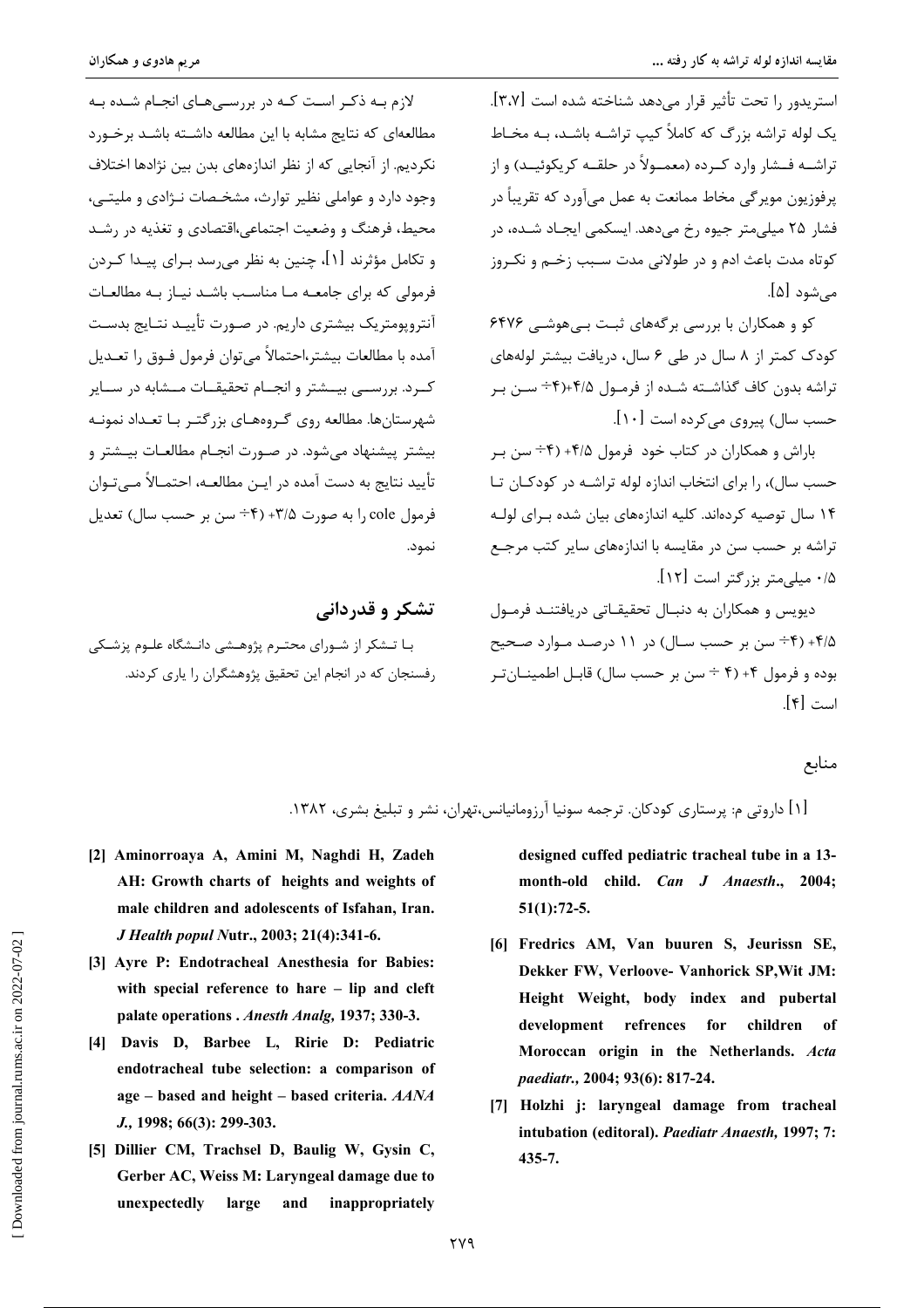استریدوں را تحت تأثیر قرار مے دھد شناخته شده است [۳،۷]. یک لوله تراشه بزرگ که کاملاً کیب تراشــه باشــد، بــه مخــاط تراشــه فــشار وارد كــرده (معمــولاً در حلقــه كريكوئيــد) و از پرفوزیون موپر گے مخاط ممانعت به عمل می آورد که تقریباً در فشار ۲۵ میلی متر جیوه رخ میدهد. ایسکمی ایجـاد شـده، در کوتاه مدت باعث ادم و در طولانی مدت سـبب زخـم و نکـروز می شود [۵].

کو و همکاران با بررسی برگههای ثبت بے هوشبی ۶۴۷۶ کودک کمتر از ۸ سال در طی ۶ سال، دریافت بیشتر لولههای تراشه بدون کاف گذاشـته شـده از فرمـول ۴/۵+(۴÷ سـن بـر حسب سال) پیروی مے کردہ است [۱۰].

باراش و همکاران در کتاب خود فرمول ۴/۵+ (۴÷ سن ب حسب سال)، را برای انتخاب اندازه لوله تراشـه در کودکـان تـا ۱۴ سال توصیه کردهاند. کلیه اندازههای بیان شده بـرای لولـه تراشه بر حسب سن در مقایسه با اندازههای سایر کتب مرجـع ۰/۵ میلم متر بزرگتر است [۱۲].

دیویس و همکاران به دنبال تحقیقاتی دریافتند فرمول ۰۴/۵+ (۴÷ سن بر حسب سـال) در ۱۱ درصـد مـوارد صـحیح بوده و فرمول ۴+ (۴ ÷ سن بر حسب سال) قابـل اطمينــان *تـ*ر است [۴].

لازم بـه ذکـر اسـت کـه در بررسـیهـای انجـام شـده بـه مطالعهای که نتایج مشابه با این مطالعه داشـته باشـد برخـورد نکردیم. از آنجایی که از نظر اندازههای بدن بین نژادها اختلاف وجود دارد و عواملي نظير توارث، مشخـصات نـژادي و مليتـي، محیط، فرهنگ و وضعیت اجتماعی،اقتصادی و تغذیه در رشـد و تکامل مؤثرند [۱]، چنین به نظر می٫رسد بـرای پیـدا کـردن فرمولی که برای جامعـه مـا مناسـب باشـد نيـاز بـه مطالعـات آنتروپومتریک بیشتری داریم. در صـورت تأییــد نتــایج بدسـت آمده با مطالعات بیشتر،احتمالاً می توان فرمول فــوق را تعــدیل کــرد. بررســـی بیـــشتر و انجــام تحقیقــات مــشابه در ســایر شهرستانها. مطالعه روی گـروههـای بزرگتـر بـا تعـداد نمونـه بیشتر پیشنهاد می شود. در صـورت انجـام مطالعـات بیـشتر و تأييد نتايج به دست آمده در ايـن مطالعــه، احتمــالاً مــى تــوان فرمول cole را به صورت ٣/٥+ (۴÷ سن بر حسب سال) تعديل نمود.

تشکر و قدردانی بـا تــشکر از شــورای محتــرم پژوهــشی دانــشگاه علــوم پزشــکی . فسنحان که د. انحام این تحقیق بژوهشگران را باری کردند.

منابع

[۱] داروتی م: پرستاری کودکان. ترجمه سونیا آرزومانیانس،تهران، نشر و تبلیغ بشری، ۱۳۸۲.

- [2] Aminorroaya A, Amini M, Naghdi H, Zadeh AH: Growth charts of heights and weights of male children and adolescents of Isfahan, Iran. J Health popul Nutr., 2003; 21(4):341-6.
- [3] Avre P: Endotracheal Anesthesia for Babies: with special reference to hare - lip and cleft palate operations . Anesth Analg. 1937: 330-3.
- [4] Davis D, Barbee L, Ririe D: Pediatric endotracheal tube selection: a comparison of age – based and height – based criteria. AANA J., 1998; 66(3): 299-303.
- [5] Dillier CM, Trachsel D, Baulig W, Gysin C, Gerber AC, Weiss M: Laryngeal damage due to unexpectedly large and inappropriately

designed cuffed pediatric tracheal tube in a 13month-old child. Can J Anaesth., 2004:  $51(1):72-5.$ 

- [6] Fredrics AM, Van buuren S, Jeurissn SE, Dekker FW, Verloove- Vanhorick SP, Wit JM: Height Weight, body index and pubertal development refrences for children of Moroccan origin in the Netherlands. Acta paediatr., 2004; 93(6): 817-24.
- [7] Holzhi j: laryngeal damage from tracheal intubation (editoral). Paediatr Anaesth. 1997; 7:  $435 - 7.$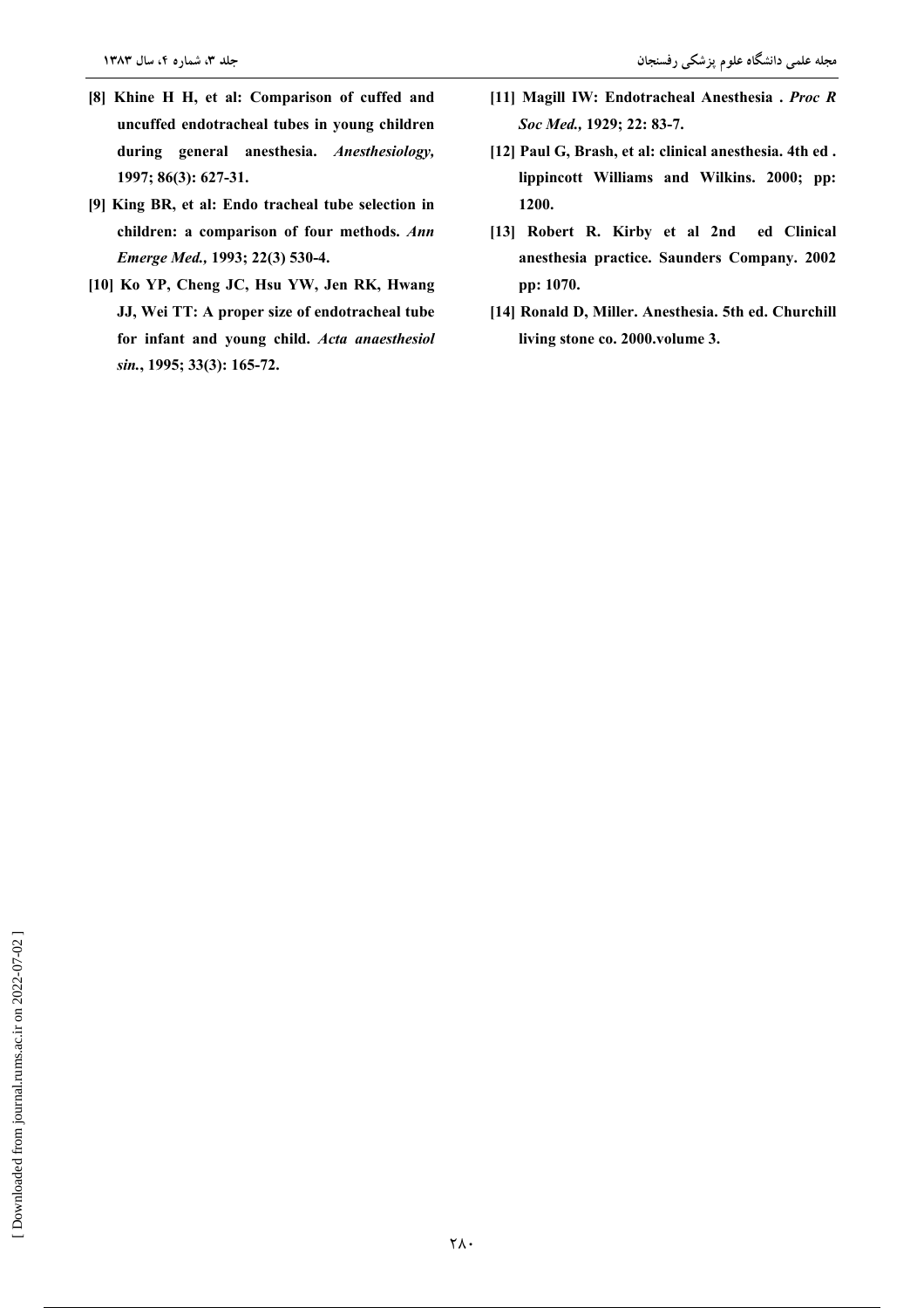- [8] Khine H H, et al: Comparison of cuffed and uncuffed endotracheal tubes in young children during general anesthesia. Anesthesiology, 1997; 86(3): 627-31.
- [9] King BR, et al: Endo tracheal tube selection in children: a comparison of four methods. Ann Emerge Med., 1993; 22(3) 530-4.
- [10] Ko YP, Cheng JC, Hsu YW, Jen RK, Hwang JJ, Wei TT: A proper size of endotracheal tube for infant and young child. Acta anaesthesiol sin., 1995; 33(3): 165-72.
- [11] Magill IW: Endotracheal Anesthesia . Proc R Soc Med., 1929; 22: 83-7.
- [12] Paul G, Brash, et al: clinical anesthesia. 4th ed. lippincott Williams and Wilkins. 2000; pp: 1200.
- [13] Robert R. Kirby et al 2nd ed Clinical anesthesia practice. Saunders Company. 2002 pp: 1070.
- [14] Ronald D, Miller. Anesthesia. 5th ed. Churchill living stone co. 2000.volume 3.